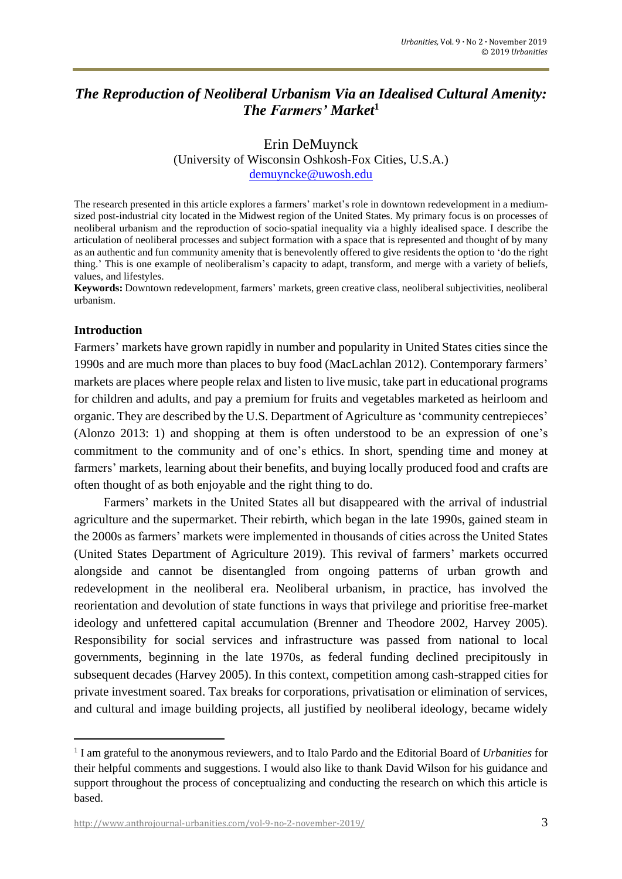# *The Reproduction of Neoliberal Urbanism Via an Idealised Cultural Amenity: The Farmers' Market***<sup>1</sup>**

#### Erin DeMuynck (University of Wisconsin Oshkosh-Fox Cities, U.S.A.) [demuyncke@uwosh.edu](mailto:demuyncke@uwosh.edu)

The research presented in this article explores a farmers' market's role in downtown redevelopment in a mediumsized post-industrial city located in the Midwest region of the United States. My primary focus is on processes of neoliberal urbanism and the reproduction of socio-spatial inequality via a highly idealised space. I describe the articulation of neoliberal processes and subject formation with a space that is represented and thought of by many as an authentic and fun community amenity that is benevolently offered to give residents the option to 'do the right thing.' This is one example of neoliberalism's capacity to adapt, transform, and merge with a variety of beliefs, values, and lifestyles.

**Keywords:** Downtown redevelopment, farmers' markets, green creative class, neoliberal subjectivities, neoliberal urbanism.

#### **Introduction**

Farmers' markets have grown rapidly in number and popularity in United States cities since the 1990s and are much more than places to buy food (MacLachlan 2012). Contemporary farmers' markets are places where people relax and listen to live music, take part in educational programs for children and adults, and pay a premium for fruits and vegetables marketed as heirloom and organic. They are described by the U.S. Department of Agriculture as'community centrepieces' (Alonzo 2013: 1) and shopping at them is often understood to be an expression of one's commitment to the community and of one's ethics. In short, spending time and money at farmers' markets, learning about their benefits, and buying locally produced food and crafts are often thought of as both enjoyable and the right thing to do.

Farmers' markets in the United States all but disappeared with the arrival of industrial agriculture and the supermarket. Their rebirth, which began in the late 1990s, gained steam in the 2000s as farmers' markets were implemented in thousands of cities across the United States (United States Department of Agriculture 2019). This revival of farmers' markets occurred alongside and cannot be disentangled from ongoing patterns of urban growth and redevelopment in the neoliberal era. Neoliberal urbanism, in practice, has involved the reorientation and devolution of state functions in ways that privilege and prioritise free-market ideology and unfettered capital accumulation (Brenner and Theodore 2002, Harvey 2005). Responsibility for social services and infrastructure was passed from national to local governments, beginning in the late 1970s, as federal funding declined precipitously in subsequent decades (Harvey 2005). In this context, competition among cash-strapped cities for private investment soared. Tax breaks for corporations, privatisation or elimination of services, and cultural and image building projects, all justified by neoliberal ideology, became widely

<sup>1</sup> I am grateful to the anonymous reviewers, and to Italo Pardo and the Editorial Board of *Urbanities* for their helpful comments and suggestions. I would also like to thank David Wilson for his guidance and support throughout the process of conceptualizing and conducting the research on which this article is based.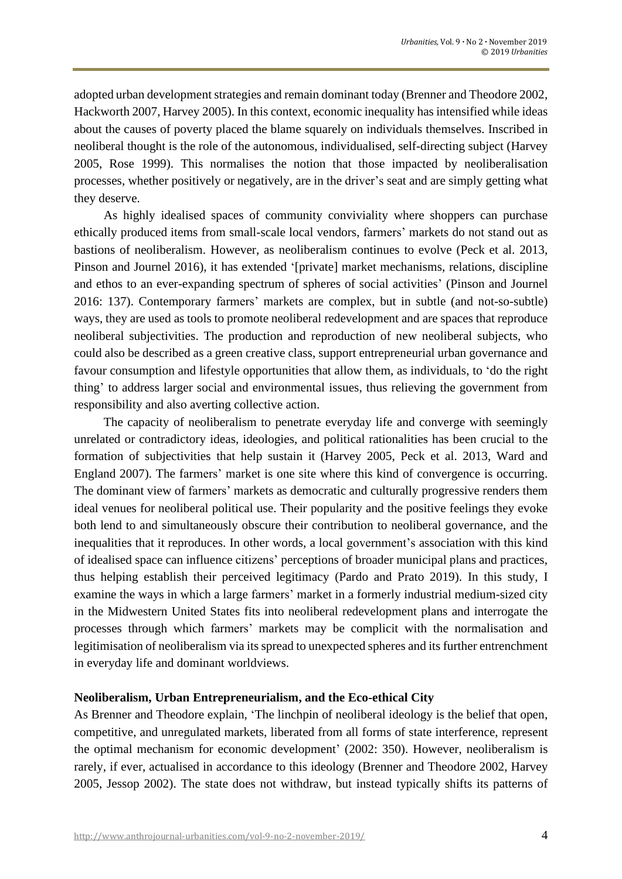adopted urban development strategies and remain dominant today (Brenner and Theodore 2002, Hackworth 2007, Harvey 2005). In this context, economic inequality has intensified while ideas about the causes of poverty placed the blame squarely on individuals themselves. Inscribed in neoliberal thought is the role of the autonomous, individualised, self-directing subject (Harvey 2005, Rose 1999). This normalises the notion that those impacted by neoliberalisation processes, whether positively or negatively, are in the driver's seat and are simply getting what they deserve.

As highly idealised spaces of community conviviality where shoppers can purchase ethically produced items from small-scale local vendors, farmers' markets do not stand out as bastions of neoliberalism. However, as neoliberalism continues to evolve (Peck et al. 2013, Pinson and Journel 2016), it has extended '[private] market mechanisms, relations, discipline and ethos to an ever-expanding spectrum of spheres of social activities' (Pinson and Journel 2016: 137). Contemporary farmers' markets are complex, but in subtle (and not-so-subtle) ways, they are used as tools to promote neoliberal redevelopment and are spaces that reproduce neoliberal subjectivities. The production and reproduction of new neoliberal subjects, who could also be described as a green creative class, support entrepreneurial urban governance and favour consumption and lifestyle opportunities that allow them, as individuals, to 'do the right thing' to address larger social and environmental issues, thus relieving the government from responsibility and also averting collective action.

The capacity of neoliberalism to penetrate everyday life and converge with seemingly unrelated or contradictory ideas, ideologies, and political rationalities has been crucial to the formation of subjectivities that help sustain it (Harvey 2005, Peck et al. 2013, [Ward](http://onlinelibrary.wiley.com/doi/10.1111/j.1467-8330.2011.00970_2.x/full#b28) and [England](http://onlinelibrary.wiley.com/doi/10.1111/j.1467-8330.2011.00970_2.x/full#b28) 2007). The farmers' market is one site where this kind of convergence is occurring. The dominant view of farmers' markets as democratic and culturally progressive renders them ideal venues for neoliberal political use. Their popularity and the positive feelings they evoke both lend to and simultaneously obscure their contribution to neoliberal governance, and the inequalities that it reproduces. In other words, a local government's association with this kind of idealised space can influence citizens' perceptions of broader municipal plans and practices, thus helping establish their perceived legitimacy (Pardo and Prato 2019). In this study, I examine the ways in which a large farmers' market in a formerly industrial medium-sized city in the Midwestern United States fits into neoliberal redevelopment plans and interrogate the processes through which farmers' markets may be complicit with the normalisation and legitimisation of neoliberalism via its spread to unexpected spheres and its further entrenchment in everyday life and dominant worldviews.

## **Neoliberalism, Urban Entrepreneurialism, and the Eco-ethical City**

As Brenner and Theodore explain, 'The linchpin of neoliberal ideology is the belief that open, competitive, and unregulated markets, liberated from all forms of state interference, represent the optimal mechanism for economic development' (2002: 350). However, neoliberalism is rarely, if ever, actualised in accordance to this ideology (Brenner and Theodore 2002, Harvey 2005, Jessop 2002). The state does not withdraw, but instead typically shifts its patterns of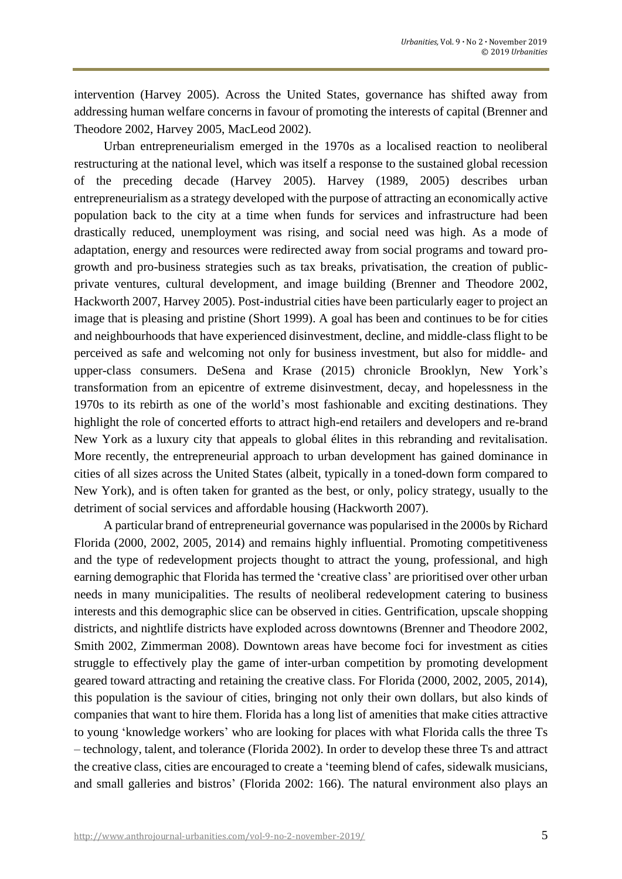intervention (Harvey 2005). Across the United States, governance has shifted away from addressing human welfare concerns in favour of promoting the interests of capital (Brenner and Theodore 2002, Harvey 2005, MacLeod 2002).

Urban entrepreneurialism emerged in the 1970s as a localised reaction to neoliberal restructuring at the national level, which was itself a response to the sustained global recession of the preceding decade (Harvey 2005). Harvey (1989, 2005) describes urban entrepreneurialism as a strategy developed with the purpose of attracting an economically active population back to the city at a time when funds for services and infrastructure had been drastically reduced, unemployment was rising, and social need was high. As a mode of adaptation, energy and resources were redirected away from social programs and toward progrowth and pro-business strategies such as tax breaks, privatisation, the creation of publicprivate ventures, cultural development, and image building (Brenner and Theodore 2002, Hackworth 2007, Harvey 2005). Post-industrial cities have been particularly eager to project an image that is pleasing and pristine (Short 1999). A goal has been and continues to be for cities and neighbourhoods that have experienced disinvestment, decline, and middle-class flight to be perceived as safe and welcoming not only for business investment, but also for middle- and upper-class consumers. DeSena and Krase (2015) chronicle Brooklyn, New York's transformation from an epicentre of extreme disinvestment, decay, and hopelessness in the 1970s to its rebirth as one of the world's most fashionable and exciting destinations. They highlight the role of concerted efforts to attract high-end retailers and developers and re-brand New York as a luxury city that appeals to global élites in this rebranding and revitalisation. More recently, the entrepreneurial approach to urban development has gained dominance in cities of all sizes across the United States (albeit, typically in a toned-down form compared to New York), and is often taken for granted as the best, or only, policy strategy, usually to the detriment of social services and affordable housing (Hackworth 2007).

A particular brand of entrepreneurial governance was popularised in the 2000s by Richard Florida (2000, 2002, 2005, 2014) and remains highly influential. Promoting competitiveness and the type of redevelopment projects thought to attract the young, professional, and high earning demographic that Florida has termed the 'creative class' are prioritised over other urban needs in many municipalities. The results of neoliberal redevelopment catering to business interests and this demographic slice can be observed in cities. Gentrification, upscale shopping districts, and nightlife districts have exploded across downtowns (Brenner and Theodore 2002, Smith 2002, Zimmerman 2008). Downtown areas have become foci for investment as cities struggle to effectively play the game of inter-urban competition by promoting development geared toward attracting and retaining the creative class. For Florida (2000, 2002, 2005, 2014), this population is the saviour of cities, bringing not only their own dollars, but also kinds of companies that want to hire them. Florida has a long list of amenities that make cities attractive to young 'knowledge workers' who are looking for places with what Florida calls the three Ts – technology, talent, and tolerance (Florida 2002). In order to develop these three Ts and attract the creative class, cities are encouraged to create a 'teeming blend of cafes, sidewalk musicians, and small galleries and bistros' (Florida 2002: 166). The natural environment also plays an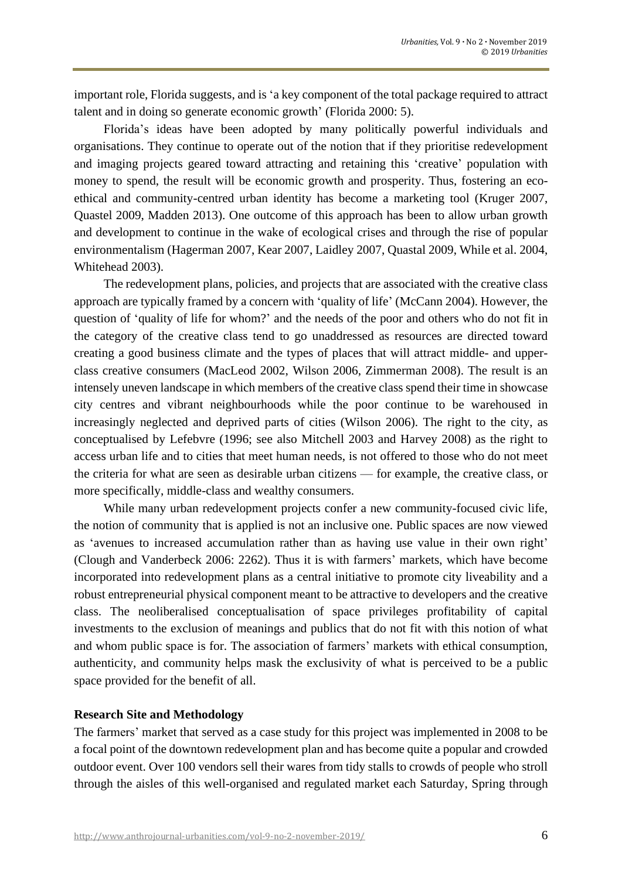important role, Florida suggests, and is 'a key component of the total package required to attract talent and in doing so generate economic growth' (Florida 2000: 5).

Florida's ideas have been adopted by many politically powerful individuals and organisations. They continue to operate out of the notion that if they prioritise redevelopment and imaging projects geared toward attracting and retaining this 'creative' population with money to spend, the result will be economic growth and prosperity. Thus, fostering an ecoethical and community-centred urban identity has become a marketing tool (Kruger 2007, Quastel 2009, Madden 2013). One outcome of this approach has been to allow urban growth and development to continue in the wake of ecological crises and through the rise of popular environmentalism (Hagerman 2007, Kear 2007, Laidley 2007, Quastal 2009, While et al. 2004, Whitehead 2003).

The redevelopment plans, policies, and projects that are associated with the creative class approach are typically framed by a concern with 'quality of life' (McCann 2004). However, the question of 'quality of life for whom?' and the needs of the poor and others who do not fit in the category of the creative class tend to go unaddressed as resources are directed toward creating a good business climate and the types of places that will attract middle- and upperclass creative consumers (MacLeod 2002, Wilson 2006, Zimmerman 2008). The result is an intensely uneven landscape in which members of the creative class spend their time in showcase city centres and vibrant neighbourhoods while the poor continue to be warehoused in increasingly neglected and deprived parts of cities (Wilson 2006). The right to the city, as conceptualised by Lefebvre (1996; see also Mitchell 2003 and Harvey 2008) as the right to access urban life and to cities that meet human needs, is not offered to those who do not meet the criteria for what are seen as desirable urban citizens — for example, the creative class, or more specifically, middle-class and wealthy consumers.

While many urban redevelopment projects confer a new community-focused civic life, the notion of community that is applied is not an inclusive one. Public spaces are now viewed as 'avenues to increased accumulation rather than as having use value in their own right' (Clough and Vanderbeck 2006: 2262). Thus it is with farmers' markets, which have become incorporated into redevelopment plans as a central initiative to promote city liveability and a robust entrepreneurial physical component meant to be attractive to developers and the creative class. The neoliberalised conceptualisation of space privileges profitability of capital investments to the exclusion of meanings and publics that do not fit with this notion of what and whom public space is for. The association of farmers' markets with ethical consumption, authenticity, and community helps mask the exclusivity of what is perceived to be a public space provided for the benefit of all.

## **Research Site and Methodology**

The farmers' market that served as a case study for this project was implemented in 2008 to be a focal point of the downtown redevelopment plan and has become quite a popular and crowded outdoor event. Over 100 vendors sell their wares from tidy stalls to crowds of people who stroll through the aisles of this well-organised and regulated market each Saturday, Spring through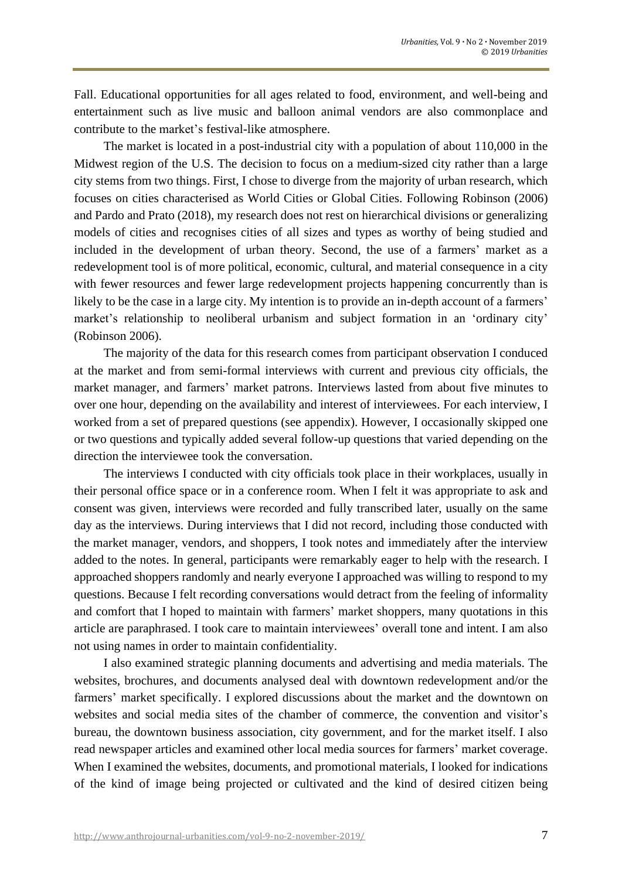Fall. Educational opportunities for all ages related to food, environment, and well-being and entertainment such as live music and balloon animal vendors are also commonplace and contribute to the market's festival-like atmosphere.

The market is located in a post-industrial city with a population of about 110,000 in the Midwest region of the U.S. The decision to focus on a medium-sized city rather than a large city stems from two things. First, I chose to diverge from the majority of urban research, which focuses on cities characterised as World Cities or Global Cities. Following Robinson (2006) and Pardo and Prato (2018), my research does not rest on hierarchical divisions or generalizing models of cities and recognises cities of all sizes and types as worthy of being studied and included in the development of urban theory. Second, the use of a farmers' market as a redevelopment tool is of more political, economic, cultural, and material consequence in a city with fewer resources and fewer large redevelopment projects happening concurrently than is likely to be the case in a large city. My intention is to provide an in-depth account of a farmers' market's relationship to neoliberal urbanism and subject formation in an 'ordinary city' (Robinson 2006).

The majority of the data for this research comes from participant observation I conduced at the market and from semi-formal interviews with current and previous city officials, the market manager, and farmers' market patrons. Interviews lasted from about five minutes to over one hour, depending on the availability and interest of interviewees. For each interview, I worked from a set of prepared questions (see appendix). However, I occasionally skipped one or two questions and typically added several follow-up questions that varied depending on the direction the interviewee took the conversation.

The interviews I conducted with city officials took place in their workplaces, usually in their personal office space or in a conference room. When I felt it was appropriate to ask and consent was given, interviews were recorded and fully transcribed later, usually on the same day as the interviews. During interviews that I did not record, including those conducted with the market manager, vendors, and shoppers, I took notes and immediately after the interview added to the notes. In general, participants were remarkably eager to help with the research. I approached shoppers randomly and nearly everyone I approached was willing to respond to my questions. Because I felt recording conversations would detract from the feeling of informality and comfort that I hoped to maintain with farmers' market shoppers, many quotations in this article are paraphrased. I took care to maintain interviewees' overall tone and intent. I am also not using names in order to maintain confidentiality.

I also examined strategic planning documents and advertising and media materials. The websites, brochures, and documents analysed deal with downtown redevelopment and/or the farmers' market specifically. I explored discussions about the market and the downtown on websites and social media sites of the chamber of commerce, the convention and visitor's bureau, the downtown business association, city government, and for the market itself. I also read newspaper articles and examined other local media sources for farmers' market coverage. When I examined the websites, documents, and promotional materials, I looked for indications of the kind of image being projected or cultivated and the kind of desired citizen being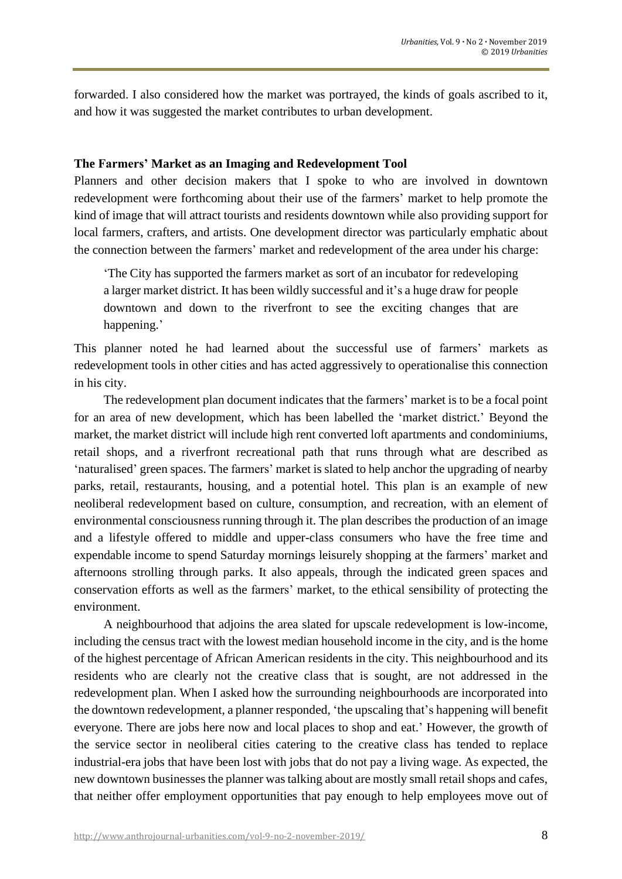forwarded. I also considered how the market was portrayed, the kinds of goals ascribed to it, and how it was suggested the market contributes to urban development.

#### **The Farmers' Market as an Imaging and Redevelopment Tool**

Planners and other decision makers that I spoke to who are involved in downtown redevelopment were forthcoming about their use of the farmers' market to help promote the kind of image that will attract tourists and residents downtown while also providing support for local farmers, crafters, and artists. One development director was particularly emphatic about the connection between the farmers' market and redevelopment of the area under his charge:

'The City has supported the farmers market as sort of an incubator for redeveloping a larger market district. It has been wildly successful and it's a huge draw for people downtown and down to the riverfront to see the exciting changes that are happening.'

This planner noted he had learned about the successful use of farmers' markets as redevelopment tools in other cities and has acted aggressively to operationalise this connection in his city.

The redevelopment plan document indicates that the farmers' market is to be a focal point for an area of new development, which has been labelled the 'market district.' Beyond the market, the market district will include high rent converted loft apartments and condominiums, retail shops, and a riverfront recreational path that runs through what are described as 'naturalised' green spaces. The farmers' market is slated to help anchor the upgrading of nearby parks, retail, restaurants, housing, and a potential hotel. This plan is an example of new neoliberal redevelopment based on culture, consumption, and recreation, with an element of environmental consciousness running through it. The plan describes the production of an image and a lifestyle offered to middle and upper-class consumers who have the free time and expendable income to spend Saturday mornings leisurely shopping at the farmers' market and afternoons strolling through parks. It also appeals, through the indicated green spaces and conservation efforts as well as the farmers' market, to the ethical sensibility of protecting the environment.

A neighbourhood that adjoins the area slated for upscale redevelopment is low-income, including the census tract with the lowest median household income in the city, and is the home of the highest percentage of African American residents in the city. This neighbourhood and its residents who are clearly not the creative class that is sought, are not addressed in the redevelopment plan. When I asked how the surrounding neighbourhoods are incorporated into the downtown redevelopment, a planner responded, 'the upscaling that's happening will benefit everyone. There are jobs here now and local places to shop and eat.' However, the growth of the service sector in neoliberal cities catering to the creative class has tended to replace industrial-era jobs that have been lost with jobs that do not pay a living wage. As expected, the new downtown businesses the planner was talking about are mostly small retail shops and cafes, that neither offer employment opportunities that pay enough to help employees move out of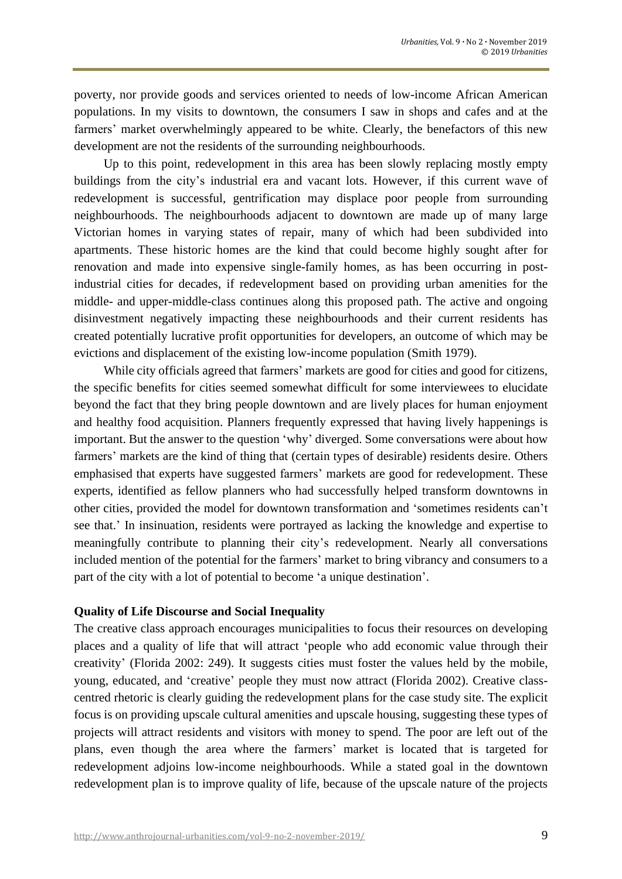poverty, nor provide goods and services oriented to needs of low-income African American populations. In my visits to downtown, the consumers I saw in shops and cafes and at the farmers' market overwhelmingly appeared to be white. Clearly, the benefactors of this new development are not the residents of the surrounding neighbourhoods.

Up to this point, redevelopment in this area has been slowly replacing mostly empty buildings from the city's industrial era and vacant lots. However, if this current wave of redevelopment is successful, gentrification may displace poor people from surrounding neighbourhoods. The neighbourhoods adjacent to downtown are made up of many large Victorian homes in varying states of repair, many of which had been subdivided into apartments. These historic homes are the kind that could become highly sought after for renovation and made into expensive single-family homes, as has been occurring in postindustrial cities for decades, if redevelopment based on providing urban amenities for the middle- and upper-middle-class continues along this proposed path. The active and ongoing disinvestment negatively impacting these neighbourhoods and their current residents has created potentially lucrative profit opportunities for developers, an outcome of which may be evictions and displacement of the existing low-income population (Smith 1979).

While city officials agreed that farmers' markets are good for cities and good for citizens, the specific benefits for cities seemed somewhat difficult for some interviewees to elucidate beyond the fact that they bring people downtown and are lively places for human enjoyment and healthy food acquisition. Planners frequently expressed that having lively happenings is important. But the answer to the question 'why' diverged. Some conversations were about how farmers' markets are the kind of thing that (certain types of desirable) residents desire. Others emphasised that experts have suggested farmers' markets are good for redevelopment. These experts, identified as fellow planners who had successfully helped transform downtowns in other cities, provided the model for downtown transformation and 'sometimes residents can't see that.' In insinuation, residents were portrayed as lacking the knowledge and expertise to meaningfully contribute to planning their city's redevelopment. Nearly all conversations included mention of the potential for the farmers' market to bring vibrancy and consumers to a part of the city with a lot of potential to become 'a unique destination'.

## **Quality of Life Discourse and Social Inequality**

The creative class approach encourages municipalities to focus their resources on developing places and a quality of life that will attract 'people who add economic value through their creativity' (Florida 2002: 249). It suggests cities must foster the values held by the mobile, young, educated, and 'creative' people they must now attract (Florida 2002). Creative classcentred rhetoric is clearly guiding the redevelopment plans for the case study site. The explicit focus is on providing upscale cultural amenities and upscale housing, suggesting these types of projects will attract residents and visitors with money to spend. The poor are left out of the plans, even though the area where the farmers' market is located that is targeted for redevelopment adjoins low-income neighbourhoods. While a stated goal in the downtown redevelopment plan is to improve quality of life, because of the upscale nature of the projects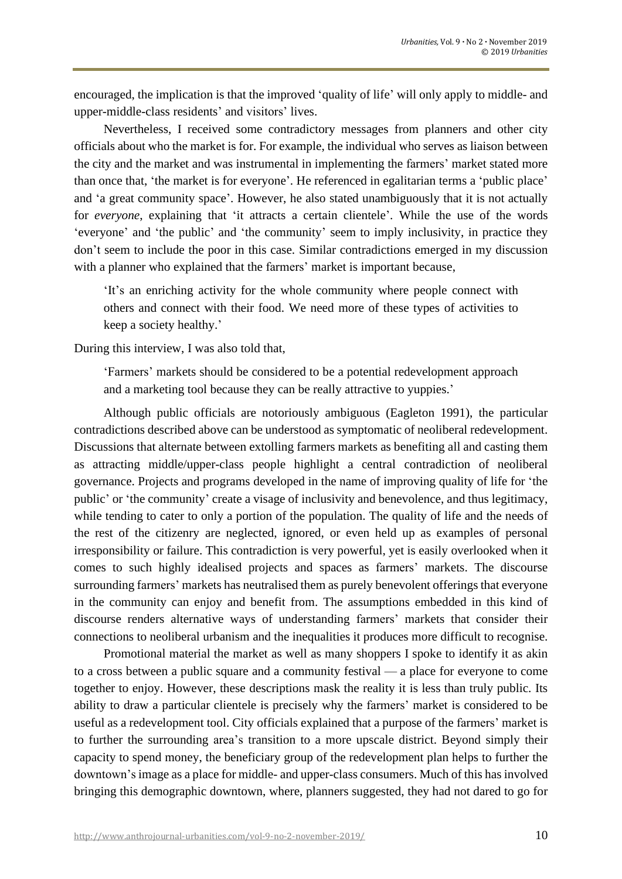encouraged, the implication is that the improved 'quality of life' will only apply to middle- and upper-middle-class residents' and visitors' lives.

Nevertheless, I received some contradictory messages from planners and other city officials about who the market is for. For example, the individual who serves as liaison between the city and the market and was instrumental in implementing the farmers' market stated more than once that, 'the market is for everyone'. He referenced in egalitarian terms a 'public place' and 'a great community space'. However, he also stated unambiguously that it is not actually for *everyone*, explaining that 'it attracts a certain clientele'. While the use of the words 'everyone' and 'the public' and 'the community' seem to imply inclusivity, in practice they don't seem to include the poor in this case. Similar contradictions emerged in my discussion with a planner who explained that the farmers' market is important because,

'It's an enriching activity for the whole community where people connect with others and connect with their food. We need more of these types of activities to keep a society healthy.'

During this interview, I was also told that,

'Farmers' markets should be considered to be a potential redevelopment approach and a marketing tool because they can be really attractive to yuppies.'

Although public officials are notoriously ambiguous (Eagleton 1991), the particular contradictions described above can be understood as symptomatic of neoliberal redevelopment. Discussions that alternate between extolling farmers markets as benefiting all and casting them as attracting middle/upper-class people highlight a central contradiction of neoliberal governance. Projects and programs developed in the name of improving quality of life for 'the public' or 'the community' create a visage of inclusivity and benevolence, and thus legitimacy, while tending to cater to only a portion of the population. The quality of life and the needs of the rest of the citizenry are neglected, ignored, or even held up as examples of personal irresponsibility or failure. This contradiction is very powerful, yet is easily overlooked when it comes to such highly idealised projects and spaces as farmers' markets. The discourse surrounding farmers' markets has neutralised them as purely benevolent offerings that everyone in the community can enjoy and benefit from. The assumptions embedded in this kind of discourse renders alternative ways of understanding farmers' markets that consider their connections to neoliberal urbanism and the inequalities it produces more difficult to recognise.

Promotional material the market as well as many shoppers I spoke to identify it as akin to a cross between a public square and a community festival — a place for everyone to come together to enjoy. However, these descriptions mask the reality it is less than truly public. Its ability to draw a particular clientele is precisely why the farmers' market is considered to be useful as a redevelopment tool. City officials explained that a purpose of the farmers' market is to further the surrounding area's transition to a more upscale district. Beyond simply their capacity to spend money, the beneficiary group of the redevelopment plan helps to further the downtown's image as a place for middle- and upper-class consumers. Much of this has involved bringing this demographic downtown, where, planners suggested, they had not dared to go for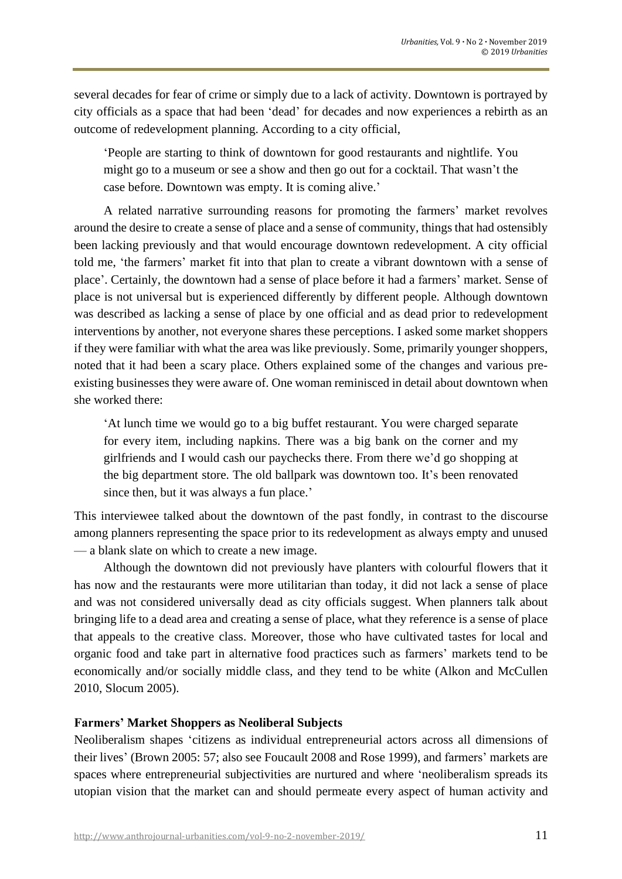several decades for fear of crime or simply due to a lack of activity. Downtown is portrayed by city officials as a space that had been 'dead' for decades and now experiences a rebirth as an outcome of redevelopment planning. According to a city official,

'People are starting to think of downtown for good restaurants and nightlife. You might go to a museum or see a show and then go out for a cocktail. That wasn't the case before. Downtown was empty. It is coming alive.'

A related narrative surrounding reasons for promoting the farmers' market revolves around the desire to create a sense of place and a sense of community, things that had ostensibly been lacking previously and that would encourage downtown redevelopment. A city official told me, 'the farmers' market fit into that plan to create a vibrant downtown with a sense of place'. Certainly, the downtown had a sense of place before it had a farmers' market. Sense of place is not universal but is experienced differently by different people. Although downtown was described as lacking a sense of place by one official and as dead prior to redevelopment interventions by another, not everyone shares these perceptions. I asked some market shoppers if they were familiar with what the area was like previously. Some, primarily younger shoppers, noted that it had been a scary place. Others explained some of the changes and various preexisting businesses they were aware of. One woman reminisced in detail about downtown when she worked there:

'At lunch time we would go to a big buffet restaurant. You were charged separate for every item, including napkins. There was a big bank on the corner and my girlfriends and I would cash our paychecks there. From there we'd go shopping at the big department store. The old ballpark was downtown too. It's been renovated since then, but it was always a fun place.'

This interviewee talked about the downtown of the past fondly, in contrast to the discourse among planners representing the space prior to its redevelopment as always empty and unused — a blank slate on which to create a new image.

Although the downtown did not previously have planters with colourful flowers that it has now and the restaurants were more utilitarian than today, it did not lack a sense of place and was not considered universally dead as city officials suggest. When planners talk about bringing life to a dead area and creating a sense of place, what they reference is a sense of place that appeals to the creative class. Moreover, those who have cultivated tastes for local and organic food and take part in alternative food practices such as farmers' markets tend to be economically and/or socially middle class, and they tend to be white (Alkon and McCullen 2010, Slocum 2005).

## **Farmers' Market Shoppers as Neoliberal Subjects**

Neoliberalism shapes 'citizens as individual entrepreneurial actors across all dimensions of their lives' (Brown 2005: 57; also see Foucault 2008 and Rose 1999), and farmers' markets are spaces where entrepreneurial subjectivities are nurtured and where 'neoliberalism spreads its utopian vision that the market can and should permeate every aspect of human activity and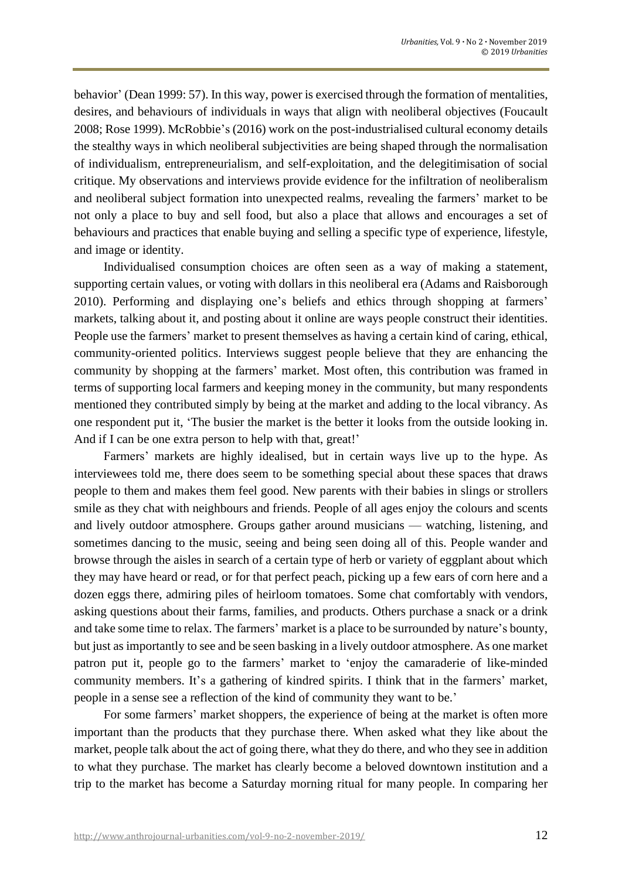behavior' (Dean 1999: 57). In this way, power is exercised through the formation of mentalities, desires, and behaviours of individuals in ways that align with neoliberal objectives (Foucault 2008; Rose 1999). McRobbie's (2016) work on the post-industrialised cultural economy details the stealthy ways in which neoliberal subjectivities are being shaped through the normalisation of individualism, entrepreneurialism, and self-exploitation, and the delegitimisation of social critique. My observations and interviews provide evidence for the infiltration of neoliberalism and neoliberal subject formation into unexpected realms, revealing the farmers' market to be not only a place to buy and sell food, but also a place that allows and encourages a set of behaviours and practices that enable buying and selling a specific type of experience, lifestyle, and image or identity.

Individualised consumption choices are often seen as a way of making a statement, supporting certain values, or voting with dollars in this neoliberal era (Adams and Raisborough 2010). Performing and displaying one's beliefs and ethics through shopping at farmers' markets, talking about it, and posting about it online are ways people construct their identities. People use the farmers' market to present themselves as having a certain kind of caring, ethical, community-oriented politics. Interviews suggest people believe that they are enhancing the community by shopping at the farmers' market. Most often, this contribution was framed in terms of supporting local farmers and keeping money in the community, but many respondents mentioned they contributed simply by being at the market and adding to the local vibrancy. As one respondent put it, 'The busier the market is the better it looks from the outside looking in. And if I can be one extra person to help with that, great!'

Farmers' markets are highly idealised, but in certain ways live up to the hype. As interviewees told me, there does seem to be something special about these spaces that draws people to them and makes them feel good. New parents with their babies in slings or strollers smile as they chat with neighbours and friends. People of all ages enjoy the colours and scents and lively outdoor atmosphere. Groups gather around musicians — watching, listening, and sometimes dancing to the music, seeing and being seen doing all of this. People wander and browse through the aisles in search of a certain type of herb or variety of eggplant about which they may have heard or read, or for that perfect peach, picking up a few ears of corn here and a dozen eggs there, admiring piles of heirloom tomatoes. Some chat comfortably with vendors, asking questions about their farms, families, and products. Others purchase a snack or a drink and take some time to relax. The farmers' market is a place to be surrounded by nature's bounty, but just as importantly to see and be seen basking in a lively outdoor atmosphere. As one market patron put it, people go to the farmers' market to 'enjoy the camaraderie of like-minded community members. It's a gathering of kindred spirits. I think that in the farmers' market, people in a sense see a reflection of the kind of community they want to be.'

For some farmers' market shoppers, the experience of being at the market is often more important than the products that they purchase there. When asked what they like about the market, people talk about the act of going there, what they do there, and who they see in addition to what they purchase. The market has clearly become a beloved downtown institution and a trip to the market has become a Saturday morning ritual for many people. In comparing her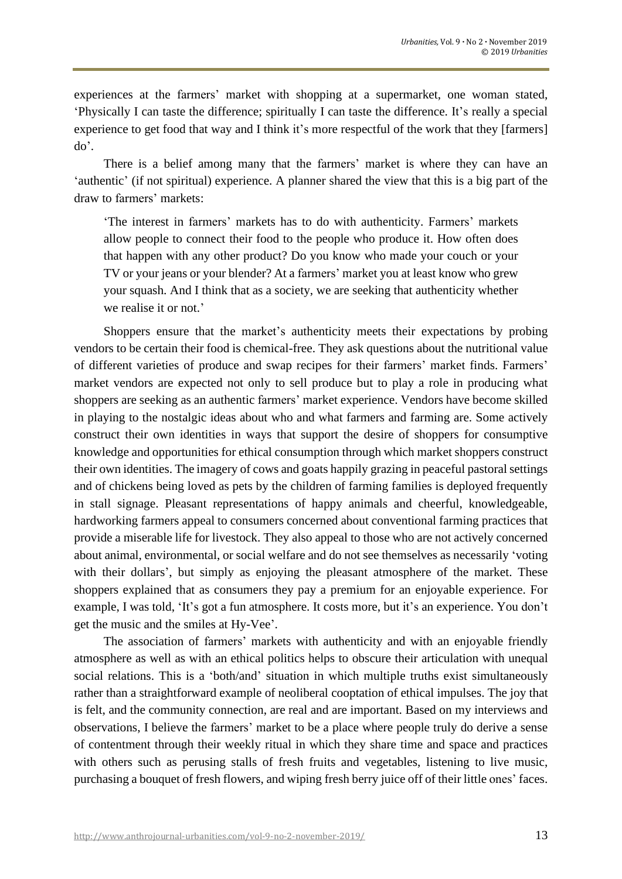experiences at the farmers' market with shopping at a supermarket, one woman stated, 'Physically I can taste the difference; spiritually I can taste the difference. It's really a special experience to get food that way and I think it's more respectful of the work that they [farmers] do'.

There is a belief among many that the farmers' market is where they can have an 'authentic' (if not spiritual) experience. A planner shared the view that this is a big part of the draw to farmers' markets:

'The interest in farmers' markets has to do with authenticity. Farmers' markets allow people to connect their food to the people who produce it. How often does that happen with any other product? Do you know who made your couch or your TV or your jeans or your blender? At a farmers' market you at least know who grew your squash. And I think that as a society, we are seeking that authenticity whether we realise it or not.'

Shoppers ensure that the market's authenticity meets their expectations by probing vendors to be certain their food is chemical-free. They ask questions about the nutritional value of different varieties of produce and swap recipes for their farmers' market finds. Farmers' market vendors are expected not only to sell produce but to play a role in producing what shoppers are seeking as an authentic farmers' market experience. Vendors have become skilled in playing to the nostalgic ideas about who and what farmers and farming are. Some actively construct their own identities in ways that support the desire of shoppers for consumptive knowledge and opportunities for ethical consumption through which market shoppers construct their own identities. The imagery of cows and goats happily grazing in peaceful pastoral settings and of chickens being loved as pets by the children of farming families is deployed frequently in stall signage. Pleasant representations of happy animals and cheerful, knowledgeable, hardworking farmers appeal to consumers concerned about conventional farming practices that provide a miserable life for livestock. They also appeal to those who are not actively concerned about animal, environmental, or social welfare and do not see themselves as necessarily 'voting with their dollars', but simply as enjoying the pleasant atmosphere of the market. These shoppers explained that as consumers they pay a premium for an enjoyable experience. For example, I was told, 'It's got a fun atmosphere. It costs more, but it's an experience. You don't get the music and the smiles at Hy-Vee'.

The association of farmers' markets with authenticity and with an enjoyable friendly atmosphere as well as with an ethical politics helps to obscure their articulation with unequal social relations. This is a 'both/and' situation in which multiple truths exist simultaneously rather than a straightforward example of neoliberal cooptation of ethical impulses. The joy that is felt, and the community connection, are real and are important. Based on my interviews and observations, I believe the farmers' market to be a place where people truly do derive a sense of contentment through their weekly ritual in which they share time and space and practices with others such as perusing stalls of fresh fruits and vegetables, listening to live music, purchasing a bouquet of fresh flowers, and wiping fresh berry juice off of their little ones' faces.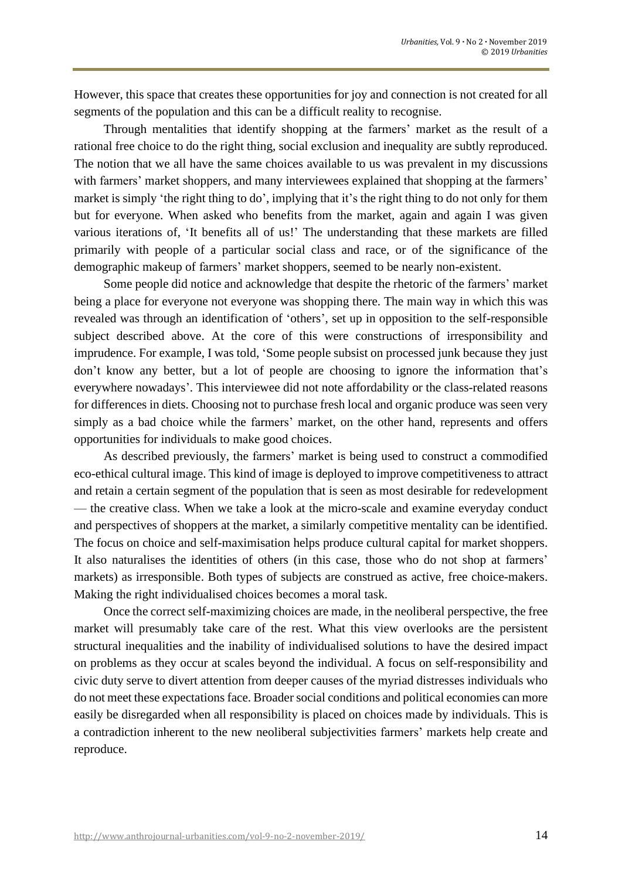However, this space that creates these opportunities for joy and connection is not created for all segments of the population and this can be a difficult reality to recognise.

Through mentalities that identify shopping at the farmers' market as the result of a rational free choice to do the right thing, social exclusion and inequality are subtly reproduced. The notion that we all have the same choices available to us was prevalent in my discussions with farmers' market shoppers, and many interviewees explained that shopping at the farmers' market is simply 'the right thing to do', implying that it's the right thing to do not only for them but for everyone. When asked who benefits from the market, again and again I was given various iterations of, 'It benefits all of us!' The understanding that these markets are filled primarily with people of a particular social class and race, or of the significance of the demographic makeup of farmers' market shoppers, seemed to be nearly non-existent.

Some people did notice and acknowledge that despite the rhetoric of the farmers' market being a place for everyone not everyone was shopping there. The main way in which this was revealed was through an identification of 'others', set up in opposition to the self-responsible subject described above. At the core of this were constructions of irresponsibility and imprudence. For example, I was told, 'Some people subsist on processed junk because they just don't know any better, but a lot of people are choosing to ignore the information that's everywhere nowadays'. This interviewee did not note affordability or the class-related reasons for differences in diets. Choosing not to purchase fresh local and organic produce was seen very simply as a bad choice while the farmers' market, on the other hand, represents and offers opportunities for individuals to make good choices.

As described previously, the farmers' market is being used to construct a commodified eco-ethical cultural image. This kind of image is deployed to improve competitiveness to attract and retain a certain segment of the population that is seen as most desirable for redevelopment — the creative class. When we take a look at the micro-scale and examine everyday conduct and perspectives of shoppers at the market, a similarly competitive mentality can be identified. The focus on choice and self-maximisation helps produce cultural capital for market shoppers. It also naturalises the identities of others (in this case, those who do not shop at farmers' markets) as irresponsible. Both types of subjects are construed as active, free choice-makers. Making the right individualised choices becomes a moral task.

Once the correct self-maximizing choices are made, in the neoliberal perspective, the free market will presumably take care of the rest. What this view overlooks are the persistent structural inequalities and the inability of individualised solutions to have the desired impact on problems as they occur at scales beyond the individual. A focus on self-responsibility and civic duty serve to divert attention from deeper causes of the myriad distresses individuals who do not meet these expectations face. Broader social conditions and political economies can more easily be disregarded when all responsibility is placed on choices made by individuals. This is a contradiction inherent to the new neoliberal subjectivities farmers' markets help create and reproduce.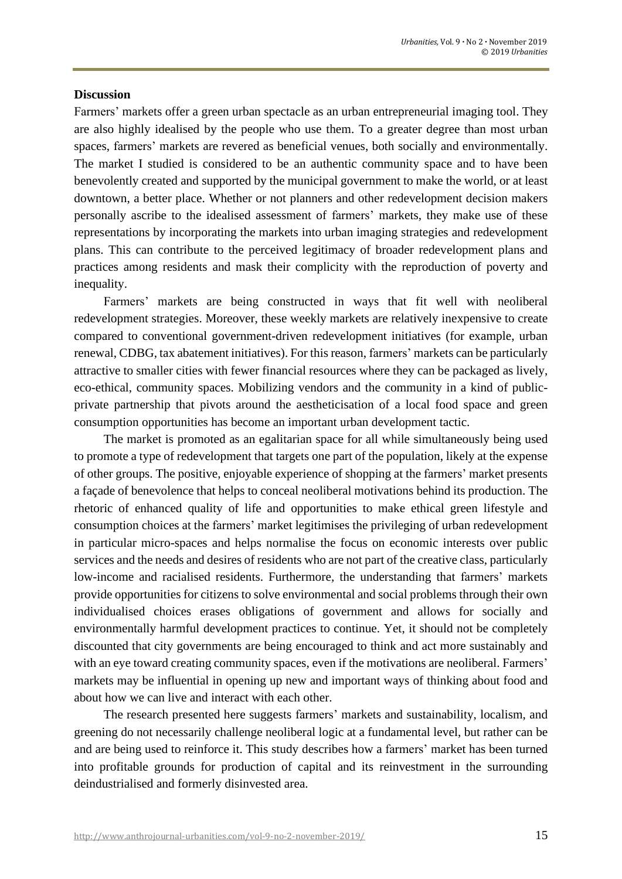#### **Discussion**

Farmers' markets offer a green urban spectacle as an urban entrepreneurial imaging tool. They are also highly idealised by the people who use them. To a greater degree than most urban spaces, farmers' markets are revered as beneficial venues, both socially and environmentally. The market I studied is considered to be an authentic community space and to have been benevolently created and supported by the municipal government to make the world, or at least downtown, a better place. Whether or not planners and other redevelopment decision makers personally ascribe to the idealised assessment of farmers' markets, they make use of these representations by incorporating the markets into urban imaging strategies and redevelopment plans. This can contribute to the perceived legitimacy of broader redevelopment plans and practices among residents and mask their complicity with the reproduction of poverty and inequality.

Farmers' markets are being constructed in ways that fit well with neoliberal redevelopment strategies. Moreover, these weekly markets are relatively inexpensive to create compared to conventional government-driven redevelopment initiatives (for example, urban renewal, CDBG, tax abatement initiatives). For thisreason, farmers' markets can be particularly attractive to smaller cities with fewer financial resources where they can be packaged as lively, eco-ethical, community spaces. Mobilizing vendors and the community in a kind of publicprivate partnership that pivots around the aestheticisation of a local food space and green consumption opportunities has become an important urban development tactic.

The market is promoted as an egalitarian space for all while simultaneously being used to promote a type of redevelopment that targets one part of the population, likely at the expense of other groups. The positive, enjoyable experience of shopping at the farmers' market presents a façade of benevolence that helps to conceal neoliberal motivations behind its production. The rhetoric of enhanced quality of life and opportunities to make ethical green lifestyle and consumption choices at the farmers' market legitimises the privileging of urban redevelopment in particular micro-spaces and helps normalise the focus on economic interests over public services and the needs and desires of residents who are not part of the creative class, particularly low-income and racialised residents. Furthermore, the understanding that farmers' markets provide opportunities for citizens to solve environmental and social problems through their own individualised choices erases obligations of government and allows for socially and environmentally harmful development practices to continue. Yet, it should not be completely discounted that city governments are being encouraged to think and act more sustainably and with an eye toward creating community spaces, even if the motivations are neoliberal. Farmers' markets may be influential in opening up new and important ways of thinking about food and about how we can live and interact with each other.

The research presented here suggests farmers' markets and sustainability, localism, and greening do not necessarily challenge neoliberal logic at a fundamental level, but rather can be and are being used to reinforce it. This study describes how a farmers' market has been turned into profitable grounds for production of capital and its reinvestment in the surrounding deindustrialised and formerly disinvested area.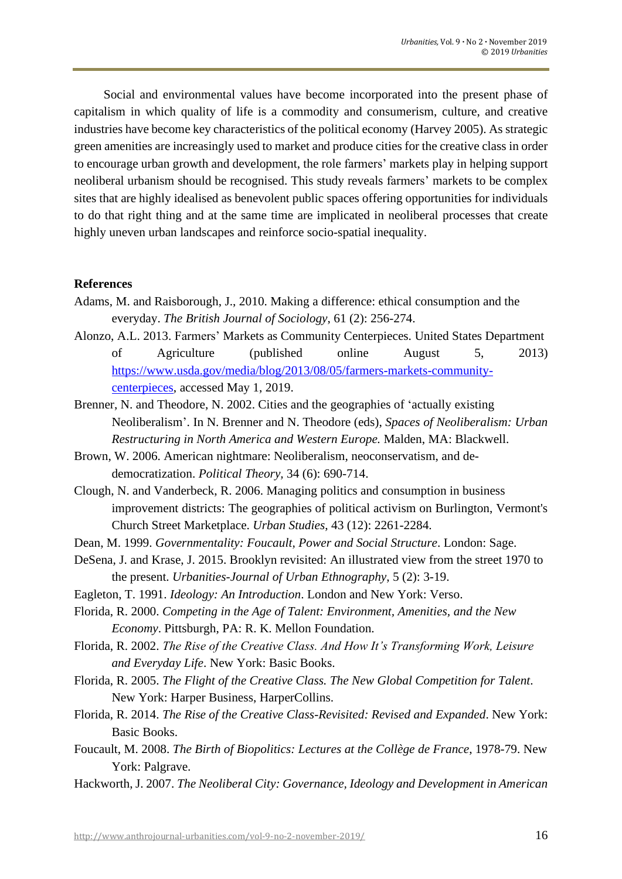Social and environmental values have become incorporated into the present phase of capitalism in which quality of life is a commodity and consumerism, culture, and creative industries have become key characteristics of the political economy (Harvey 2005). As strategic green amenities are increasingly used to market and produce cities for the creative class in order to encourage urban growth and development, the role farmers' markets play in helping support neoliberal urbanism should be recognised. This study reveals farmers' markets to be complex sites that are highly idealised as benevolent public spaces offering opportunities for individuals to do that right thing and at the same time are implicated in neoliberal processes that create highly uneven urban landscapes and reinforce socio-spatial inequality.

#### **References**

- Adams, M. and Raisborough, J., 2010. Making a difference: ethical consumption and the everyday. *The British Journal of Sociology*, 61 (2): 256-274.
- Alonzo, A.L. 2013. Farmers' Markets as Community Centerpieces. United States Department of Agriculture (published online August 5, 2013) [https://www.usda.gov/media/blog/2013/08/05/farmers-markets-community](https://www.usda.gov/media/blog/2013/08/05/farmers-markets-community-centerpieces)[centerpieces,](https://www.usda.gov/media/blog/2013/08/05/farmers-markets-community-centerpieces) accessed May 1, 2019.
- Brenner, N. and Theodore, N. 2002. Cities and the geographies of 'actually existing Neoliberalism'. In N. Brenner and N. Theodore (eds), *Spaces of Neoliberalism: Urban Restructuring in North America and Western Europe.* Malden, MA: Blackwell.
- Brown, W. 2006. American nightmare: Neoliberalism, neoconservatism, and dedemocratization. *Political Theory,* 34 (6): 690-714.
- Clough, N. and Vanderbeck, R. 2006. Managing politics and consumption in business improvement districts: The geographies of political activism on Burlington, Vermont's Church Street Marketplace. *Urban Studies*, 43 (12): 2261-2284.
- Dean, M. 1999. *Governmentality: Foucault, Power and Social Structure*. London: Sage.
- DeSena, J. and Krase, J. 2015. Brooklyn revisited: An illustrated view from the street 1970 to the present. *Urbanities-Journal of Urban Ethnography*, 5 (2): 3-19.
- Eagleton, T. 1991. *Ideology: An Introduction*. London and New York: Verso.
- Florida, R. 2000. *Competing in the Age of Talent: Environment, Amenities, and the New Economy*. Pittsburgh, PA: R. K. Mellon Foundation.
- Florida, R. 2002. *The Rise of the Creative Class. And How It's Transforming Work, Leisure and Everyday Life*. New York: Basic Books.
- Florida, R. 2005. *The Flight of the Creative Class. The New Global Competition for Talent*. New York: Harper Business, HarperCollins.
- Florida, R. 2014. *The Rise of the Creative Class-Revisited: Revised and Expanded*. New York: Basic Books.
- Foucault, M. 2008. *The Birth of Biopolitics: Lectures at the Collège de France*, 1978-79. New York: Palgrave.
- Hackworth, J. 2007. *The Neoliberal City: Governance, Ideology and Development in American*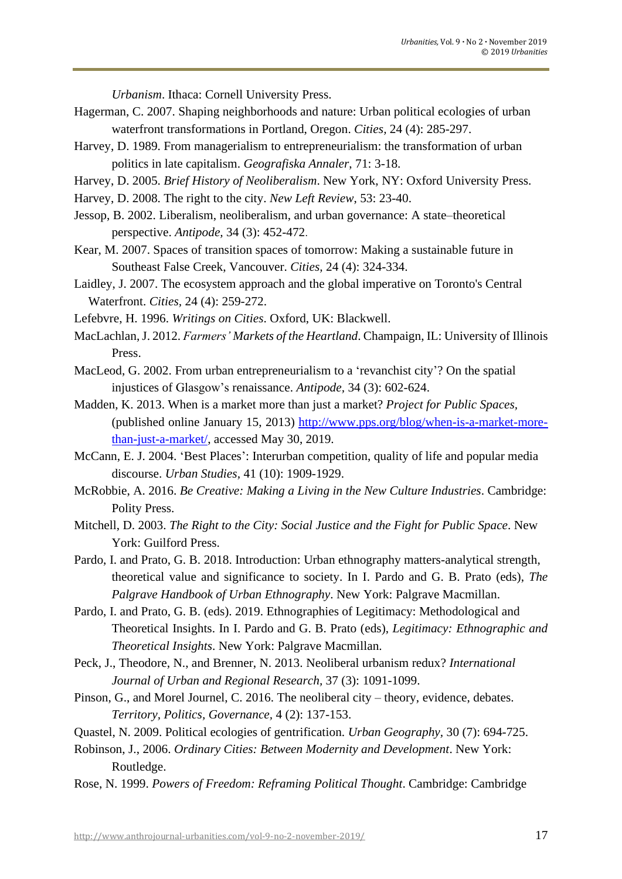*Urbanism*. Ithaca: Cornell University Press.

- Hagerman, C. 2007. Shaping neighborhoods and nature: Urban political ecologies of urban waterfront transformations in Portland, Oregon. *Cities,* 24 (4): 285-297.
- Harvey, D. 1989. From managerialism to entrepreneurialism: the transformation of urban politics in late capitalism. *Geografiska Annaler*, 71: 3-18.
- Harvey, D. 2005. *Brief History of Neoliberalism*. New York, NY: Oxford University Press.

Harvey, D. 2008. The right to the city. *New Left Review*, 53: 23-40.

- Jessop, B. 2002. Liberalism, neoliberalism, and urban governance: A state–theoretical perspective. *Antipode,* 34 (3): 452-472.
- Kear, M. 2007. Spaces of transition spaces of tomorrow: Making a sustainable future in Southeast False Creek, Vancouver. *Cities,* 24 (4): 324-334.
- Laidley, J. 2007. The ecosystem approach and the global imperative on Toronto's Central Waterfront. *Cities,* 24 (4): 259-272.
- Lefebvre, H. 1996. *Writings on Cities*. Oxford, UK: Blackwell.
- MacLachlan,J. 2012. *Farmers' Markets of the Heartland*. Champaign, IL: University of Illinois Press.
- MacLeod, G. 2002. From urban entrepreneurialism to a 'revanchist city'? On the spatial injustices of Glasgow's renaissance. *Antipode,* 34 (3): 602-624.
- Madden, K. 2013. When is a market more than just a market? *Project for Public Spaces,* (published online January 15, 2013) [http://www.pps.org/blog/when-is-a-market-more](http://www.pps.org/blog/when-is-a-market-more-than-just-a-market/)[than-just-a-market/,](http://www.pps.org/blog/when-is-a-market-more-than-just-a-market/) accessed May 30, 2019.
- McCann, E. J. 2004. 'Best Places': Interurban competition, quality of life and popular media discourse. *Urban Studies,* 41 (10): 1909-1929.
- McRobbie, A. 2016. *Be Creative: Making a Living in the New Culture Industries*. Cambridge: Polity Press.
- Mitchell, D. 2003. *The Right to the City: Social Justice and the Fight for Public Space*. New York: Guilford Press.
- Pardo, I. and Prato, G. B. 2018. Introduction: Urban ethnography matters-analytical strength, theoretical value and significance to society. In I. Pardo and G. B. Prato (eds), *The Palgrave Handbook of Urban Ethnography*. New York: Palgrave Macmillan.
- Pardo, I. and Prato, G. B. (eds). 2019. Ethnographies of Legitimacy: Methodological and Theoretical Insights. In I. Pardo and G. B. Prato (eds), *Legitimacy: Ethnographic and Theoretical Insights*. New York: Palgrave Macmillan.
- Peck, J., Theodore, N., and Brenner, N. 2013. Neoliberal urbanism redux? *International Journal of Urban and Regional Research,* 37 (3): 1091-1099.
- Pinson, G., and Morel Journel, C. 2016. The neoliberal city theory, evidence, debates. *Territory, Politics, Governance,* 4 (2): 137-153.
- Quastel, N. 2009. Political ecologies of gentrification. *Urban Geography,* 30 (7): 694-725.
- Robinson, J., 2006. *Ordinary Cities: Between Modernity and Development*. New York: Routledge.
- Rose, N. 1999. *Powers of Freedom: Reframing Political Thought*. Cambridge: Cambridge